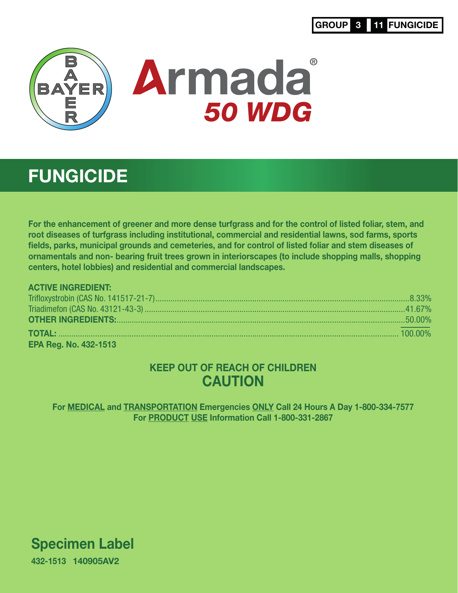# GROUP 3 11 FUNGICIDE



# **FUNGICIDE**

For the enhancement of greener and more dense turfgrass and for the control of listed foliar, stem, and root diseases of turfgrass including institutional, commercial and residential lawns, sod farms, sports fields, parks, municipal grounds and cemeteries, and for control of listed foliar and stem diseases of ornamentals and non- bearing fruit trees grown in interiorscapes (to include shopping malls, shopping centers, hotel lobbies) and residential and commercial landscapes.

# ACTIVE INGREDIENT:

| <b>OTHER INGREDIENTS:</b> 50.00% |  |
|----------------------------------|--|
|                                  |  |
| <b>EPA Reg. No. 432-1513</b>     |  |

# KEEP OUT OF REACH OF CHILDREN **CAUTION**

For MEDICAL and TRANSPORTATION Emergencies ONLY Call 24 Hours A Day 1-800-334-7577 For PRODUCT USE Information Call 1-800-331-2867

Specimen Label 432-1513 140905AV2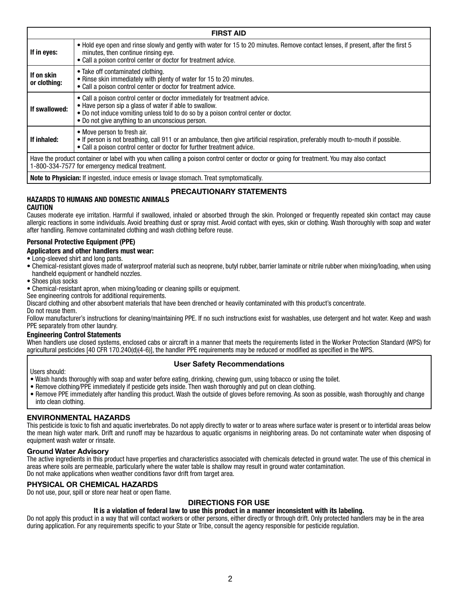| <b>FIRST AID</b>                                                                                                                                                                            |                                                                                                                                                                                                                                                                                 |  |
|---------------------------------------------------------------------------------------------------------------------------------------------------------------------------------------------|---------------------------------------------------------------------------------------------------------------------------------------------------------------------------------------------------------------------------------------------------------------------------------|--|
| If in eyes:                                                                                                                                                                                 | • Hold eye open and rinse slowly and gently with water for 15 to 20 minutes. Remove contact lenses, if present, after the first 5<br>minutes, then continue rinsing eye.<br>• Call a poison control center or doctor for treatment advice.                                      |  |
| If on skin<br>or clothing:                                                                                                                                                                  | • Take off contaminated clothing.<br>• Rinse skin immediately with plenty of water for 15 to 20 minutes.<br>• Call a poison control center or doctor for treatment advice.                                                                                                      |  |
| If swallowed:                                                                                                                                                                               | • Call a poison control center or doctor immediately for treatment advice.<br>• Have person sip a glass of water if able to swallow.<br>. Do not induce vomiting unless told to do so by a poison control center or doctor.<br>• Do not give anything to an unconscious person. |  |
| If inhaled:                                                                                                                                                                                 | • Move person to fresh air.<br>• If person is not breathing, call 911 or an ambulance, then give artificial respiration, preferably mouth to-mouth if possible.<br>• Call a poison control center or doctor for further treatment advice.                                       |  |
| Have the product container or label with you when calling a poison control center or doctor or going for treatment. You may also contact<br>1-800-334-7577 for emergency medical treatment. |                                                                                                                                                                                                                                                                                 |  |
|                                                                                                                                                                                             |                                                                                                                                                                                                                                                                                 |  |

**Note to Physician:** If ingested, induce emesis or lavage stomach. Treat symptomatically.

# **PRECAUTIONARY STATEMENTS**

#### **HAZARDS TO HUMANS AND DOMESTIC ANIMALS CAUTION**

Causes moderate eye irritation. Harmful if swallowed, inhaled or absorbed through the skin. Prolonged or frequently repeated skin contact may cause allergic reactions in some individuals. Avoid breathing dust or spray mist. Avoid contact with eyes, skin or clothing. Wash thoroughly with soap and water after handling. Remove contaminated clothing and wash clothing before reuse.

# **Personal Protective Equipment (PPE)**

#### **Applicators and other handlers must wear:**

- Long-sleeved shirt and long pants.
- Chemical-resistant gloves made of waterproof material such as neoprene, butyl rubber, barrier laminate or nitrile rubber when mixing/loading, when using handheld equipment or handheld nozzles.
- Shoes plus socks
- Chemical-resistant apron, when mixing/loading or cleaning spills or equipment.
- See engineering controls for additional requirements.

Discard clothing and other absorbent materials that have been drenched or heavily contaminated with this product's concentrate. Do not reuse them.

Follow manufacturer's instructions for cleaning/maintaining PPE. If no such instructions exist for washables, use detergent and hot water. Keep and wash PPE separately from other laundry.

#### **Engineering Control Statements**

When handlers use closed systems, enclosed cabs or aircraft in a manner that meets the requirements listed in the Worker Protection Standard (WPS) for agricultural pesticides [40 CFR 170.240(d)(4-6)], the handler PPE requirements may be reduced or modified as specified in the WPS.

# **User Safety Recommendations**

Users should:

- Wash hands thoroughly with soap and water before eating, drinking, chewing gum, using tobacco or using the toilet.
- Remove clothing/PPE immediately if pesticide gets inside. Then wash thoroughly and put on clean clothing.
- Remove PPE immediately after handling this product. Wash the outside of gloves before removing. As soon as possible, wash thoroughly and change into clean clothing.

# **ENVIRONMENTAL HAZARDS**

This pesticide is toxic to fish and aquatic invertebrates. Do not apply directly to water or to areas where surface water is present or to intertidal areas below the mean high water mark. Drift and runoff may be hazardous to aquatic organisms in neighboring areas. Do not contaminate water when disposing of equipment wash water or rinsate.

# **Ground Water Advisory**

The active ingredients in this product have properties and characteristics associated with chemicals detected in ground water. The use of this chemical in areas where soils are permeable, particularly where the water table is shallow may result in ground water contamination. Do not make applications when weather conditions favor drift from target area.

# **PHYSICAL OR CHEMICAL HAZARDS**

Do not use, pour, spill or store near heat or open flame.

# **DIRECTIONS FOR USE**

# **It is a violation of federal law to use this product in a manner inconsistent with its labeling.**

Do not apply this product in a way that will contact workers or other persons, either directly or through drift. Only protected handlers may be in the area during application. For any requirements specific to your State or Tribe, consult the agency responsible for pesticide regulation.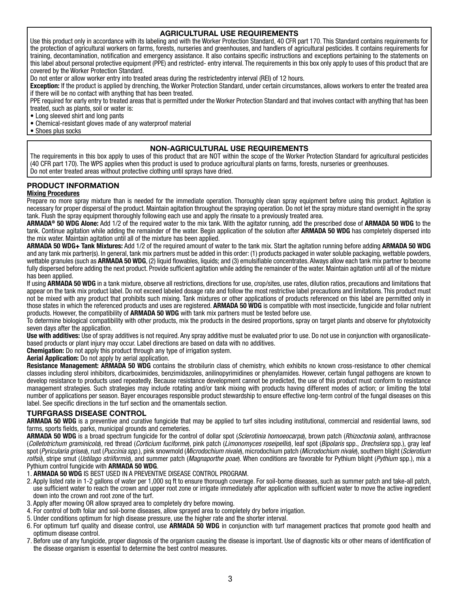# **AGRICULTURAL USE REQUIREMENTS**

Use this product only in accordance with its labeling and with the Worker Protection Standard, 40 CFR part 170. This Standard contains requirements for the protection of agricultural workers on farms, forests, nurseries and greenhouses, and handlers of agricultural pesticides. It contains requirements for training, decontamination, notification and emergency assistance. It also contains specific instructions and exceptions pertaining to the statements on this label about personal protective equipment (PPE) and restricted- entry interval. The requirements in this box only apply to uses of this product that are covered by the Worker Protection Standard.

Do not enter or allow worker entry into treated areas during the restrictedentry interval (REI) of 12 hours.

**Exception:** If the product is applied by drenching, the Worker Protection Standard, under certain circumstances, allows workers to enter the treated area if there will be no contact with anything that has been treated.

PPE required for early entry to treated areas that is permitted under the Worker Protection Standard and that involves contact with anything that has been treated, such as plants, soil or water is:

• Long sleeved shirt and long pants

• Chemical-resistant gloves made of any waterproof material

• Shoes plus socks

# **NON-AGRICULTURAL USE REQUIREMENTS**

The requirements in this box apply to uses of this product that are NOT within the scope of the Worker Protection Standard for agricultural pesticides (40 CFR part 170). The WPS applies when this product is used to produce agricultural plants on farms, forests, nurseries or greenhouses. Do not enter treated areas without protective clothing until sprays have dried.

# **PRODUCT INFORMATION**

#### **Mixing Procedures**

Prepare no more spray mixture than is needed for the immediate operation. Thoroughly clean spray equipment before using this product. Agitation is necessary for proper dispersal of the product. Maintain agitation throughout the spraying operation. Do not let the spray mixture stand overnight in the spray tank. Flush the spray equipment thoroughly following each use and apply the rinsate to a previously treated area.

**ARMADA® 50 WDG Alone:** Add 1/2 of the required water to the mix tank. With the agitator running, add the prescribed dose of **ARMADA 50 WDG** to the tank. Continue agitation while adding the remainder of the water. Begin application of the solution after **ARMADA 50 WDG** has completely dispersed into the mix water. Maintain agitation until all of the mixture has been applied.

**ARMADA 50 WDG+ Tank Mixtures:** Add 1/2 of the required amount of water to the tank mix. Start the agitation running before adding **ARMADA 50 WDG**  and any tank mix partner(s). In general, tank mix partners must be added in this order: (1) products packaged in water soluble packaging, wettable powders, wettable granules (such as **ARMADA 50 WDG**, (2) liquid flowables, liquids; and (3) emulsifiable concentrates. Always allow each tank mix partner to become fully dispersed before adding the next product. Provide sufficient agitation while adding the remainder of the water. Maintain agitation until all of the mixture has been applied.

If using **ARMADA 50 WDG** in a tank mixture, observe all restrictions, directions for use, crop/sites, use rates, dilution ratios, precautions and limitations that appear on the tank mix product label. Do not exceed labeled dosage rate and follow the most restrictive label precautions and limitations. This product must not be mixed with any product that prohibits such mixing. Tank mixtures or other applications of products referenced on this label are permitted only in those states in which the referenced products and uses are registered. **ARMADA 50 WDG** is compatible with most insecticide, fungicide and foliar nutrient products. However, the compatibility of **ARMADA 50 WDG** with tank mix partners must be tested before use.

To determine biological compatibility with other products, mix the products in the desired proportions, spray on target plants and observe for phytotoxicity seven days after the application.

**Use with additives:** Use of spray additives is not required. Any spray additive must be evaluated prior to use. Do not use in conjunction with organosilicatebased products or plant injury may occur. Label directions are based on data with no additives.

**Chemigation:** Do not apply this product through any type of irrigation system.

**Aerial Application:** Do not apply by aerial application.

**Resistance Management: ARMADA 50 WDG** contains the strobilurin class of chemistry, which exhibits no known cross-resistance to other chemical classes including sterol inhibitors, dicarboximides, benzimidazoles, anilinopyrimidines or phenylamides. However, certain fungal pathogens are known to develop resistance to products used repeatedly. Because resistance development cannot be predicted, the use of this product must conform to resistance management strategies. Such strategies may include rotating and/or tank mixing with products having different modes of action; or limiting the total number of applications per season. Bayer encourages responsible product stewardship to ensure effective long-term control of the fungal diseases on this label. See specific directions in the turf section and the ornamentals section.

# **TURFGRASS DISEASE CONTROL**

**ARMADA 50 WDG** is a preventive and curative fungicide that may be applied to turf sites including institutional, commercial and residential lawns, sod farms, sports fields, parks, municipal grounds and cemeteries.

**ARMADA 50 WDG** is a broad spectrum fungicide for the control of dollar spot (*Sclerotinia homoeocarpa*), brown patch (*Rhizoctonia solani*), anthracnose (*Colletotrichum graminicola*), red thread (*Corticium fuciforme*), pink patch (*Limonomyces roseipellis*), leaf spot (*Bipolaris* spp., *Drechslera* spp.), gray leaf spot (*Pyricularia grisea*), rust (*Puccinia spp.*), pink snowmold (*Microdochium nivale*), microdochium patch (*Microdochium nivale*), southern blight (*Sclerotium rolfsii*), stripe smut (*Ustilago striiformis*), and summer patch (*Magnaporthe poae*). When conditions are favorable for Pythium blight (*Pythium* spp.), mix a Pythium control fungicide with **ARMADA 50 WDG**.

- 1. **ARMADA 50 WDG** IS BEST USED IN A PREVENTIVE DISEASE CONTROL PROGRAM.
- 2. Apply listed rate in 1-2 gallons of water per 1,000 sq ft to ensure thorough coverage. For soil-borne diseases, such as summer patch and take-all patch, use sufficient water to reach the crown and upper root zone or irrigate immediately after application with sufficient water to move the active ingredient down into the crown and root zone of the turf.
- 3. Apply after mowing OR allow sprayed area to completely dry before mowing.
- 4. For control of both foliar and soil-borne diseases, allow sprayed area to completely dry before irrigation.
- 5. Under conditions optimum for high disease pressure, use the higher rate and the shorter interval.
- 6. For optimum turf quality and disease control, use **ARMADA 50 WDG** in conjunction with turf management practices that promote good health and optimum disease control.
- 7. Before use of any fungicide, proper diagnosis of the organism causing the disease is important. Use of diagnostic kits or other means of identification of the disease organism is essential to determine the best control measures.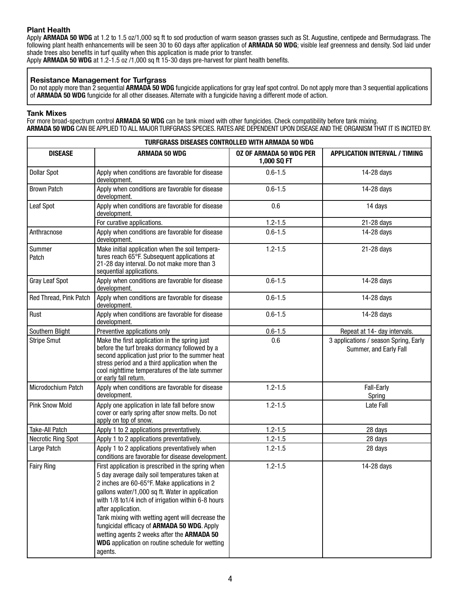# **Plant Health**

Apply **ARMADA 50 WDG** at 1.2 to 1.5 oz/1,000 sq ft to sod production of warm season grasses such as St. Augustine, centipede and Bermudagrass. The following plant health enhancements will be seen 30 to 60 days after application of **ARMADA 50 WDG**; visible leaf greenness and density. Sod laid under shade trees also benefits in turf quality when this application is made prior to transfer.

Apply **ARMADA 50 WDG** at 1.2-1.5 oz /1,000 sq ft 15-30 days pre-harvest for plant health benefits.

### **Resistance Management for Turfgrass**

Do not apply more than 2 sequential **ARMADA 50 WDG** fungicide applications for gray leaf spot control. Do not apply more than 3 sequential applications of **ARMADA 50 WDG** fungicide for all other diseases. Alternate with a fungicide having a different mode of action.

#### **Tank Mixes**

For more broad-spectrum control **ARMADA 50 WDG** can be tank mixed with other fungicides. Check compatibility before tank mixing. **ARMADA 50 WDG** CAN BE APPLIED TO ALL MAJOR TURFGRASS SPECIES. RATES ARE DEPENDENT UPON DISEASE AND THE ORGANISM THAT IT IS INCITED BY.

| TURFGRASS DISEASES CONTROLLED WITH ARMADA 50 WDG |                                                                                                                                                                                                                                                                                                                                                                                                                                                                                                            |                                               |                                                                 |  |
|--------------------------------------------------|------------------------------------------------------------------------------------------------------------------------------------------------------------------------------------------------------------------------------------------------------------------------------------------------------------------------------------------------------------------------------------------------------------------------------------------------------------------------------------------------------------|-----------------------------------------------|-----------------------------------------------------------------|--|
| <b>DISEASE</b>                                   | <b>ARMADA 50 WDG</b>                                                                                                                                                                                                                                                                                                                                                                                                                                                                                       | <b>0Z OF ARMADA 50 WDG PER</b><br>1,000 SQ FT | <b>APPLICATION INTERVAL / TIMING</b>                            |  |
| <b>Dollar Spot</b>                               | Apply when conditions are favorable for disease<br>development.                                                                                                                                                                                                                                                                                                                                                                                                                                            | $0.6 - 1.5$                                   | 14-28 days                                                      |  |
| <b>Brown Patch</b>                               | Apply when conditions are favorable for disease<br>development.                                                                                                                                                                                                                                                                                                                                                                                                                                            | $0.6 - 1.5$                                   | 14-28 days                                                      |  |
| Leaf Spot                                        | Apply when conditions are favorable for disease<br>development.                                                                                                                                                                                                                                                                                                                                                                                                                                            | 0.6                                           | 14 days                                                         |  |
|                                                  | For curative applications.                                                                                                                                                                                                                                                                                                                                                                                                                                                                                 | $1.2 - 1.5$                                   | 21-28 days                                                      |  |
| Anthracnose                                      | Apply when conditions are favorable for disease<br>development.                                                                                                                                                                                                                                                                                                                                                                                                                                            | $0.6 - 1.5$                                   | 14-28 days                                                      |  |
| Summer<br>Patch                                  | Make initial application when the soil tempera-<br>tures reach 65°F. Subsequent applications at<br>21-28 day interval. Do not make more than 3<br>sequential applications.                                                                                                                                                                                                                                                                                                                                 | $1.2 - 1.5$                                   | 21-28 days                                                      |  |
| Gray Leaf Spot                                   | Apply when conditions are favorable for disease<br>development.                                                                                                                                                                                                                                                                                                                                                                                                                                            | $0.6 - 1.5$                                   | 14-28 days                                                      |  |
| Red Thread, Pink Patch                           | Apply when conditions are favorable for disease<br>development.                                                                                                                                                                                                                                                                                                                                                                                                                                            | $0.6 - 1.5$                                   | 14-28 days                                                      |  |
| Rust                                             | Apply when conditions are favorable for disease<br>development.                                                                                                                                                                                                                                                                                                                                                                                                                                            | $0.6 - 1.5$                                   | 14-28 days                                                      |  |
| Southern Blight                                  | Preventive applications only                                                                                                                                                                                                                                                                                                                                                                                                                                                                               | $0.6 - 1.5$                                   | Repeat at 14- day intervals.                                    |  |
| <b>Stripe Smut</b>                               | Make the first application in the spring just<br>before the turf breaks dormancy followed by a<br>second application just prior to the summer heat<br>stress period and a third application when the<br>cool nighttime temperatures of the late summer<br>or early fall return.                                                                                                                                                                                                                            | 0.6                                           | 3 applications / season Spring, Early<br>Summer, and Early Fall |  |
| Microdochium Patch                               | Apply when conditions are favorable for disease<br>development.                                                                                                                                                                                                                                                                                                                                                                                                                                            | $1.2 - 1.5$                                   | Fall-Early<br>Spring                                            |  |
| <b>Pink Snow Mold</b>                            | Apply one application in late fall before snow<br>cover or early spring after snow melts. Do not<br>apply on top of snow.                                                                                                                                                                                                                                                                                                                                                                                  | $1.2 - 1.5$                                   | Late Fall                                                       |  |
| Take-All Patch                                   | Apply 1 to 2 applications preventatively.                                                                                                                                                                                                                                                                                                                                                                                                                                                                  | $1.2 - 1.5$                                   | 28 days                                                         |  |
| <b>Necrotic Ring Spot</b>                        | Apply 1 to 2 applications preventatively.                                                                                                                                                                                                                                                                                                                                                                                                                                                                  | $1.2 - 1.5$                                   | 28 days                                                         |  |
| Large Patch                                      | Apply 1 to 2 applications preventatively when<br>conditions are favorable for disease development.                                                                                                                                                                                                                                                                                                                                                                                                         | $1.2 - 1.5$                                   | 28 days                                                         |  |
| <b>Fairy Ring</b>                                | First application is prescribed in the spring when<br>5 day average daily soil temperatures taken at<br>2 inches are 60-65°F. Make applications in 2<br>gallons water/1,000 sq ft. Water in application<br>with 1/8 to 1/4 inch of irrigation within 6-8 hours<br>after application.<br>Tank mixing with wetting agent will decrease the<br>fungicidal efficacy of ARMADA 50 WDG. Apply<br>wetting agents 2 weeks after the ARMADA 50<br><b>WDG</b> application on routine schedule for wetting<br>agents. | $1.2 - 1.5$                                   | 14-28 days                                                      |  |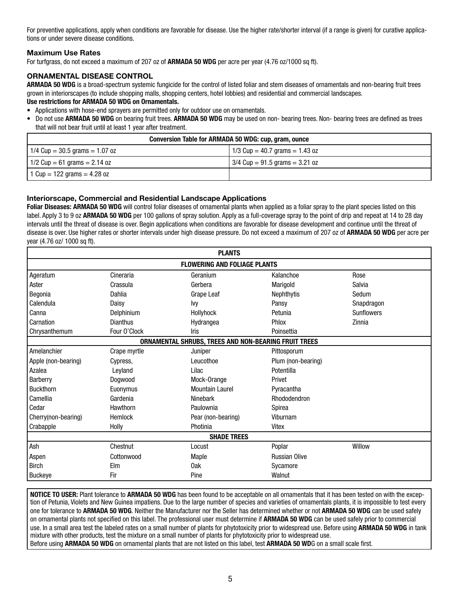For preventive applications, apply when conditions are favorable for disease. Use the higher rate/shorter interval (if a range is given) for curative applications or under severe disease conditions.

# **Maximum Use Rates**

For turfgrass, do not exceed a maximum of 207 oz of **ARMADA 50 WDG** per acre per year (4.76 oz/1000 sq ft).

# **ORNAMENTAL DISEASE CONTROL**

**ARMADA 50 WDG** is a broad-spectrum systemic fungicide for the control of listed foliar and stem diseases of ornamentals and non-bearing fruit trees grown in interiorscapes (to include shopping malls, shopping centers, hotel lobbies) and residential and commercial landscapes.

#### **Use restrictions for ARMADA 50 WDG on Ornamentals.**

- Applications with hose-end sprayers are permitted only for outdoor use on ornamentals.
- Do not use **ARMADA 50 WDG** on bearing fruit trees. **ARMADA 50 WDG** may be used on non- bearing trees. Non- bearing trees are defined as trees that will not bear fruit until at least 1 year after treatment.

| Conversion Table for ARMADA 50 WDG: cup, gram, ounce |                                  |  |  |
|------------------------------------------------------|----------------------------------|--|--|
| $1/4$ Cup = 30.5 grams = 1.07 oz                     | 1/3 Cup = 40.7 grams = 1.43 oz   |  |  |
| 1/2 Cup = 61 grams = 2.14 oz                         | $3/4$ Cup = 91.5 grams = 3.21 oz |  |  |
| 1 Cup = 122 grams = $4.28$ oz                        |                                  |  |  |

# **Interiorscape, Commercial and Residential Landscape Applications**

**Foliar Diseases: ARMADA 50 WDG** will control foliar diseases of ornamental plants when applied as a foliar spray to the plant species listed on this label. Apply 3 to 9 oz **ARMADA 50 WDG** per 100 gallons of spray solution. Apply as a full-coverage spray to the point of drip and repeat at 14 to 28 day intervals until the threat of disease is over. Begin applications when conditions are favorable for disease development and continue until the threat of disease is over. Use higher rates or shorter intervals under high disease pressure. Do not exceed a maximum of 207 oz of **ARMADA 50 WDG** per acre per year (4.76 oz/ 1000 sq ft).

| <b>PLANTS</b>       |                 |                                                      |                      |                   |
|---------------------|-----------------|------------------------------------------------------|----------------------|-------------------|
|                     |                 | <b>FLOWERING AND FOLIAGE PLANTS</b>                  |                      |                   |
| Ageratum            | Cineraria       | Geranium                                             | Kalanchoe            | Rose              |
| Aster               | Crassula        | Gerbera                                              | Marigold             | Salvia            |
| Begonia             | Dahlia          | Grape Leaf                                           | Nephthytis           | Sedum             |
| Calendula           | Daisy           | lvy                                                  | Pansy                | Snapdragon        |
| Canna               | Delphinium      | Hollyhock                                            | Petunia              | <b>Sunflowers</b> |
| Carnation           | <b>Dianthus</b> | Hydrangea                                            | Phlox                | Zinnia            |
| Chrysanthemum       | Four O'Clock    | Iris                                                 | Poinsettia           |                   |
|                     |                 | ORNAMENTAL SHRUBS, TREES AND NON-BEARING FRUIT TREES |                      |                   |
| Amelanchier         | Crape myrtle    | Juniper                                              | Pittosporum          |                   |
| Apple (non-bearing) | Cypress.        | Leucothoe                                            | Plum (non-bearing)   |                   |
| Azalea              | Leyland         | Lilac                                                | Potentilla           |                   |
| Barberry            | Dogwood         | Mock-Orange                                          | Privet               |                   |
| <b>Buckthorn</b>    | Euonymus        | <b>Mountain Laurel</b>                               | Pyracantha           |                   |
| Camellia            | Gardenia        | Ninebark                                             | Rhododendron         |                   |
| Cedar               | Hawthorn        | Paulownia                                            | Spirea               |                   |
| Cherry(non-bearing) | <b>Hemlock</b>  | Pear (non-bearing)                                   | Viburnam             |                   |
| Crabapple           | Holly           | Photinia                                             | Vitex                |                   |
| <b>SHADE TREES</b>  |                 |                                                      |                      |                   |
| Ash                 | Chestnut        | Locust                                               | Poplar               | Willow            |
| Aspen               | Cottonwood      | Maple                                                | <b>Russian Olive</b> |                   |
| <b>Birch</b>        | Elm             | 0ak                                                  | Sycamore             |                   |
| <b>Buckeye</b>      | Fir             | Pine                                                 | Walnut               |                   |

**NOTICE TO USER:** Plant tolerance to **ARMADA 50 WDG** has been found to be acceptable on all ornamentals that it has been tested on with the exception of Petunia, Violets and New Guinea impatiens. Due to the large number of species and varieties of ornamentals plants, it is impossible to test every one for tolerance to **ARMADA 50 WDG**. Neither the Manufacturer nor the Seller has determined whether or not **ARMADA 50 WDG** can be used safely on ornamental plants not specified on this label. The professional user must determine if **ARMADA 50 WDG** can be used safely prior to commercial use. In a small area test the labeled rates on a small number of plants for phytotoxicity prior to widespread use. Before using **ARMADA 50 WDG** in tank mixture with other products, test the mixture on a small number of plants for phytotoxicity prior to widespread use. Before using **ARMADA 50 WDG** on ornamental plants that are not listed on this label, test **ARMADA 50 WD**G on a small scale first.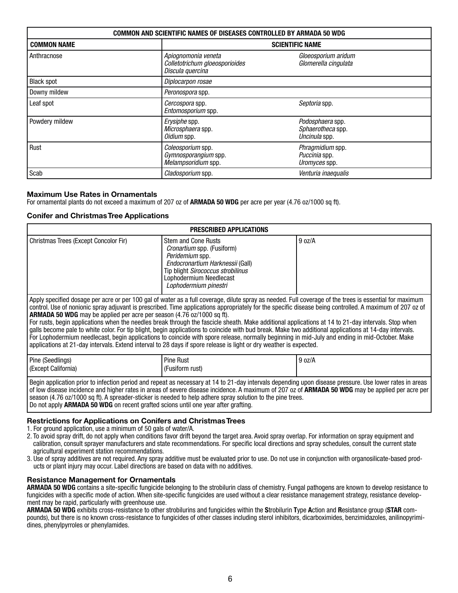| <b>COMMON AND SCIENTIFIC NAMES OF DISEASES CONTROLLED BY ARMADA 50 WDG</b> |                                                                           |                                                        |  |
|----------------------------------------------------------------------------|---------------------------------------------------------------------------|--------------------------------------------------------|--|
| <b>COMMON NAME</b>                                                         |                                                                           | <b>SCIENTIFIC NAME</b>                                 |  |
| Anthracnose                                                                | Apiognomonia veneta<br>Colletotrichum gloeosporioides<br>Discula quercina | Gloeosporium aridum<br>Glomerella cingulata            |  |
| <b>Black spot</b>                                                          | Diplocarpon rosae                                                         |                                                        |  |
| Downy mildew                                                               | Peronospora spp.                                                          |                                                        |  |
| Leaf spot                                                                  | Cercospora spp.<br>Entomosporium spp.                                     | Septoria spp.                                          |  |
| Powdery mildew                                                             | Erysiphe spp.<br>Microsphaera spp.<br>Oidium spp.                         | Podosphaera spp.<br>Sphaerotheca spp.<br>Uncinula spp. |  |
| Rust                                                                       | Coleosporium spp.<br>Gymnosporangium spp.<br>Melampsoridium spp.          | Phragmidium spp.<br>Puccinia spp.<br>Uromyces spp.     |  |
| Scab                                                                       | Cladosporium spp.                                                         | Venturia inaequalis                                    |  |

# **Maximum Use Rates in Ornamentals**

For ornamental plants do not exceed a maximum of 207 oz of **ARMADA 50 WDG** per acre per year (4.76 oz/1000 sq ft).

# **Conifer and Christmas Tree Applications**

| <b>PRESCRIBED APPLICATIONS</b>                                                                                                                                                                                                                                                                                                                                                                                                                                                                                                                                                                                                                                                                                                                                                                                                                                                                                                                                                                |                                                                                                                                                                                                                 |        |  |  |
|-----------------------------------------------------------------------------------------------------------------------------------------------------------------------------------------------------------------------------------------------------------------------------------------------------------------------------------------------------------------------------------------------------------------------------------------------------------------------------------------------------------------------------------------------------------------------------------------------------------------------------------------------------------------------------------------------------------------------------------------------------------------------------------------------------------------------------------------------------------------------------------------------------------------------------------------------------------------------------------------------|-----------------------------------------------------------------------------------------------------------------------------------------------------------------------------------------------------------------|--------|--|--|
| Christmas Trees (Except Concolor Fir)                                                                                                                                                                                                                                                                                                                                                                                                                                                                                                                                                                                                                                                                                                                                                                                                                                                                                                                                                         | <b>Stem and Cone Rusts</b><br><i>Cronartium</i> spp. (Fusiform)<br>Peridemium spp.<br>Endocronartium Harknessii (Gall)<br>Tip blight Sirococcus strobilinus<br>Lophodermium Needlecast<br>Lophodermium pinestri | 9 oz/A |  |  |
| Apply specified dosage per acre or per 100 gal of water as a full coverage, dilute spray as needed. Full coverage of the trees is essential for maximum<br>control. Use of nonionic spray adjuvant is prescribed. Time applications appropriately for the specific disease being controlled. A maximum of 207 oz of<br><b>ARMADA 50 WDG</b> may be applied per acre per season (4.76 oz/1000 sq ft).<br>For rusts, begin applications when the needles break through the fascicle sheath. Make additional applications at 14 to 21-day intervals. Stop when<br>galls become pale to white color. For tip blight, begin applications to coincide with bud break. Make two additional applications at 14-day intervals.<br>For Lophodermium needlecast, begin applications to coincide with spore release, normally beginning in mid-July and ending in mid-October. Make<br>applications at 21-day intervals. Extend interval to 28 days if spore release is light or dry weather is expected. |                                                                                                                                                                                                                 |        |  |  |
| Pine (Seedlings)<br>(Except California)                                                                                                                                                                                                                                                                                                                                                                                                                                                                                                                                                                                                                                                                                                                                                                                                                                                                                                                                                       | <b>Pine Rust</b><br>(Fusiform rust)                                                                                                                                                                             | 9 oz/A |  |  |
| Begin application prior to infection period and repeat as necessary at 14 to 21-day intervals depending upon disease pressure. Use lower rates in areas                                                                                                                                                                                                                                                                                                                                                                                                                                                                                                                                                                                                                                                                                                                                                                                                                                       |                                                                                                                                                                                                                 |        |  |  |

of low disease incidence and higher rates in areas of severe disease incidence. A maximum of 207 oz of **ARMADA 50 WDG** may be applied per acre per season (4.76 oz/1000 sq ft). A spreader-sticker is needed to help adhere spray solution to the pine trees. Do not apply **ARMADA 50 WDG** on recent grafted scions until one year after grafting.

# **Restrictions for Applications on Conifers and Christmas Trees**

1. For ground application, use a minimum of 50 gals of water/A.

- 2. To avoid spray drift, do not apply when conditions favor drift beyond the target area. Avoid spray overlap. For information on spray equipment and calibration, consult sprayer manufacturers and state recommendations. For specific local directions and spray schedules, consult the current state agricultural experiment station recommendations.
- 3. Use of spray additives are not required. Any spray additive must be evaluated prior to use. Do not use in conjunction with organosilicate-based products or plant injury may occur. Label directions are based on data with no additives.

# **Resistance Management for Ornamentals**

**ARMADA 50 WDG** contains a site-specific fungicide belonging to the strobilurin class of chemistry. Fungal pathogens are known to develop resistance to fungicides with a specific mode of action. When site-specific fungicides are used without a clear resistance management strategy, resistance development may be rapid, particularly with greenhouse use.

**ARMADA 50 WDG** exhibits cross-resistance to other strobilurins and fungicides within the **S**trobilurin **T**ype **A**ction and **R**esistance group (**STAR** compounds), but there is no known cross-resistance to fungicides of other classes including sterol inhibitors, dicarboximides, benzimidazoles, anilinopyrimidines, phenylpyrroles or phenylamides.